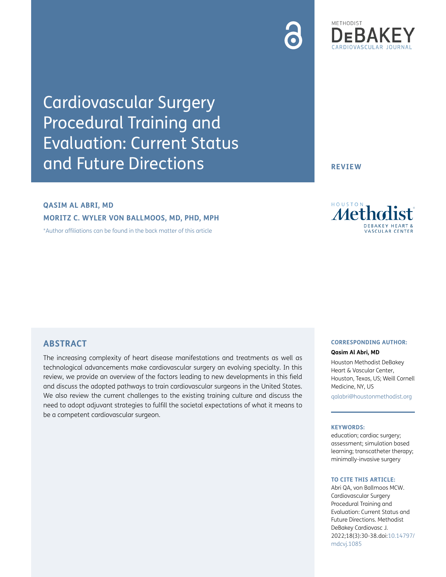Cardiovascular Surgery Procedural Training and Evaluation: Current Status and Future Directions

# **QASIM AL ABRI, MD MORITZ C. WYLER VON BALLMOOS, MD, PHD, MPH**

[\\*Author affiliations can be found in the back matter of this article](#page-7-0)

**ABSTRACT**

The increasing complexity of heart disease manifestations and treatments as well as technological advancements make cardiovascular surgery an evolving specialty. In this review, we provide an overview of the factors leading to new developments in this field and discuss the adopted pathways to train cardiovascular surgeons in the United States. We also review the current challenges to the existing training culture and discuss the need to adopt adjuvant strategies to fulfill the societal expectations of what it means to be a competent cardiovascular surgeon.

#### **CORRESPONDING AUTHOR:**

#### **Qasim Al Abri, MD**

Houston Methodist DeBakey Heart & Vascular Center, Houston, Texas, US; Weill Cornell Medicine, NY, US

[qalabri@houstonmethodist.org](mailto:qalabri@houstonmethodist.org)

#### **KEYWORDS:**

education; cardiac surgery; assessment; simulation based learning; transcatheter therapy; minimally-invasive surgery

#### **TO CITE THIS ARTICLE:**

Abri QA, von Ballmoos MCW. Cardiovascular Surgery Procedural Training and Evaluation: Current Status and Future Directions. Methodist DeBakey Cardiovasc J. 2022;18(3):30-38. doi: [10.14797/](https://doi.org/10.14797/mdcvj.1085) [mdcvj.1085](https://doi.org/10.14797/mdcvj.1085)

### **REVIEW**

METHODIST

Metholi **ASCULAR CENTER** 

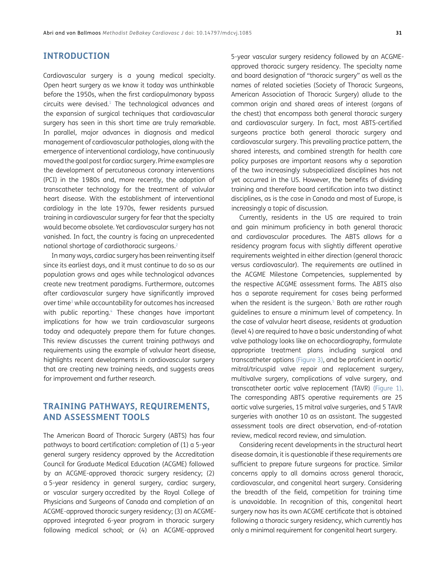## **INTRODUCTION**

Cardiovascular surgery is a young medical specialty. Open heart surgery as we know it today was unthinkable before the 1950s, when the first cardiopulmonary bypass circuits were devised.<sup>1</sup> The technological advances and the expansion of surgical techniques that cardiovascular surgery has seen in this short time are truly remarkable. In parallel, major advances in diagnosis and medical management of cardiovascular pathologies, along with the emergence of interventional cardiology, have continuously moved the goal post for cardiac surgery. Prime examples are the development of percutaneous coronary interventions (PCI) in the 1980s and, more recently, the adoption of transcatheter technology for the treatment of valvular heart disease. With the establishment of interventional cardiology in the late 1970s, fewer residents pursued training in cardiovascular surgery for fear that the specialty would become obsolete. Yet cardiovascular surgery has not vanished. In fact, the country is facing an unprecedented national shortage of cardiothoracic surgeons[.2](#page-7-2)

In many ways, cardiac surgery has been reinventing itself since its earliest days, and it must continue to do so as our population grows and ages while technological advances create new treatment paradigms. Furthermore, outcomes after cardiovascular surgery have significantly improved over time<sup>3</sup> while accountability for outcomes has increased with public reporting.<sup>4</sup> These changes have important implications for how we train cardiovascular surgeons today and adequately prepare them for future changes. This review discusses the current training pathways and requirements using the example of valvular heart disease, highlights recent developments in cardiovascular surgery that are creating new training needs, and suggests areas for improvement and further research.

## **TRAINING PATHWAYS, REQUIREMENTS, AND ASSESSMENT TOOLS**

The American Board of Thoracic Surgery (ABTS) has four pathways to board certification: completion of (1) a 5-year general surgery residency approved by the Accreditation Council for Graduate Medical Education (ACGME) followed by an ACGME-approved thoracic surgery residency; (2) a 5-year residency in general surgery, cardiac surgery, or vascular surgery accredited by the Royal College of Physicians and Surgeons of Canada and completion of an ACGME-approved thoracic surgery residency; (3) an ACGMEapproved integrated 6-year program in thoracic surgery following medical school; or (4) an ACGME-approved

5-year vascular surgery residency followed by an ACGMEapproved thoracic surgery residency. The specialty name and board designation of "thoracic surgery" as well as the names of related societies (Society of Thoracic Surgeons, American Association of Thoracic Surgery) allude to the common origin and shared areas of interest (organs of the chest) that encompass both general thoracic surgery and cardiovascular surgery. In fact, most ABTS-certified surgeons practice both general thoracic surgery and cardiovascular surgery. This prevailing practice pattern, the shared interests, and combined strength for health care policy purposes are important reasons why a separation of the two increasingly subspecialized disciplines has not yet occurred in the US. However, the benefits of dividing training and therefore board certification into two distinct disciplines, as is the case in Canada and most of Europe, is increasingly a topic of discussion.

Currently, residents in the US are required to train and gain minimum proficiency in both general thoracic and cardiovascular procedures. The ABTS allows for a residency program focus with slightly different operative requirements weighted in either direction (general thoracic versus cardiovascular). The requirements are outlined in the ACGME Milestone Competencies, supplemented by the respective ACGME assessment forms. The ABTS also has a separate requirement for cases being performed when the resident is the surgeon. $5$  Both are rather rough guidelines to ensure a minimum level of competency. In the case of valvular heart disease, residents at graduation (level 4) are required to have a basic understanding of what valve pathology looks like on echocardiography, formulate appropriate treatment plans including surgical and transcatheter options [\(Figure 3\)](#page-2-0), and be proficient in aortic/ mitral/tricuspid valve repair and replacement surgery, multivalve surgery, complications of valve surgery, and transcatheter aortic valve replacement (TAVR) [\(Figure 1\)](#page-2-0). The corresponding ABTS operative requirements are 25 aortic valve surgeries, 15 mitral valve surgeries, and 5 TAVR surgeries with another 10 as an assistant. The suggested assessment tools are direct observation, end-of-rotation review, medical record review, and simulation.

Considering recent developments in the structural heart disease domain, it is questionable if these requirements are sufficient to prepare future surgeons for practice. Similar concerns apply to all domains across general thoracic, cardiovascular, and congenital heart surgery. Considering the breadth of the field, competition for training time is unavoidable. In recognition of this, congenital heart surgery now has its own ACGME certificate that is obtained following a thoracic surgery residency, which currently has only a minimal requirement for congenital heart surgery.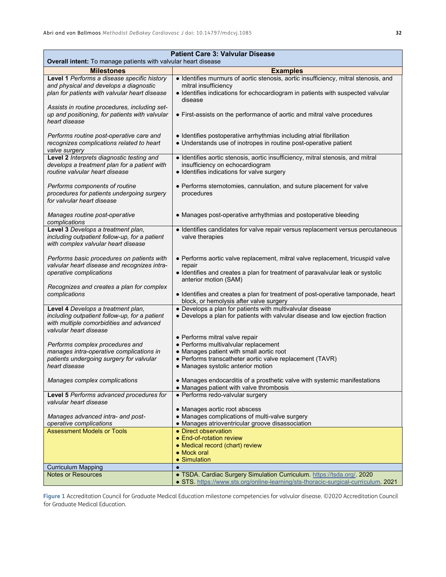| <b>Patient Care 3: Valvular Disease</b><br>Overall intent: To manage patients with valvular heart disease                                                 |                                                                                                                                                                                                     |  |
|-----------------------------------------------------------------------------------------------------------------------------------------------------------|-----------------------------------------------------------------------------------------------------------------------------------------------------------------------------------------------------|--|
| <b>Milestones</b>                                                                                                                                         | <b>Examples</b>                                                                                                                                                                                     |  |
| Level 1 Performs a disease specific history<br>and physical and develops a diagnostic<br>plan for patients with valvular heart disease                    | · Identifies murmurs of aortic stenosis, aortic insufficiency, mitral stenosis, and<br>mitral insufficiency<br>• Identifies indications for echocardiogram in patients with suspected valvular      |  |
| Assists in routine procedures, including set-<br>up and positioning, for patients with valvular<br>heart disease                                          | disease<br>• First-assists on the performance of aortic and mitral valve procedures                                                                                                                 |  |
| Performs routine post-operative care and<br>recognizes complications related to heart<br>valve surgery                                                    | • Identifies postoperative arrhythmias including atrial fibrillation<br>• Understands use of inotropes in routine post-operative patient                                                            |  |
| Level 2 Interprets diagnostic testing and<br>develops a treatment plan for a patient with<br>routine valvular heart disease                               | · Identifies aortic stenosis, aortic insufficiency, mitral stenosis, and mitral<br>insufficiency on echocardiogram<br>· Identifies indications for valve surgery                                    |  |
| Performs components of routine<br>procedures for patients undergoing surgery<br>for valvular heart disease                                                | • Performs sternotomies, cannulation, and suture placement for valve<br>procedures                                                                                                                  |  |
| Manages routine post-operative<br>complications                                                                                                           | • Manages post-operative arrhythmias and postoperative bleeding                                                                                                                                     |  |
| Level 3 Develops a treatment plan,<br>including outpatient follow-up, for a patient<br>with complex valvular heart disease                                | • Identifies candidates for valve repair versus replacement versus percutaneous<br>valve therapies                                                                                                  |  |
| Performs basic procedures on patients with<br>valvular heart disease and recognizes intra-<br>operative complications                                     | • Performs aortic valve replacement, mitral valve replacement, tricuspid valve<br>repair<br>· Identifies and creates a plan for treatment of paravalvular leak or systolic<br>anterior motion (SAM) |  |
| Recognizes and creates a plan for complex<br>complications                                                                                                | • Identifies and creates a plan for treatment of post-operative tamponade, heart<br>block, or hemolysis after valve surgery                                                                         |  |
| Level 4 Develops a treatment plan,<br>including outpatient follow-up, for a patient<br>with multiple comorbidities and advanced<br>valvular heart disease | • Develops a plan for patients with multivalvular disease<br>• Develops a plan for patients with valvular disease and low ejection fraction                                                         |  |
| Performs complex procedures and<br>manages intra-operative complications in                                                                               | • Performs mitral valve repair<br>• Performs multivalvular replacement<br>• Manages patient with small aortic root                                                                                  |  |
| patients undergoing surgery for valvular<br>heart disease                                                                                                 | • Performs transcatheter aortic valve replacement (TAVR)<br>• Manages systolic anterior motion                                                                                                      |  |
| Manages complex complications<br>Level 5 Performs advanced procedures for                                                                                 | • Manages endocarditis of a prosthetic valve with systemic manifestations<br>• Manages patient with valve thrombosis<br>• Performs redo-valvular surgery                                            |  |
| valvular heart disease                                                                                                                                    | • Manages aortic root abscess                                                                                                                                                                       |  |
| Manages advanced intra- and post-<br>operative complications<br><b>Assessment Models or Tools</b>                                                         | • Manages complications of multi-valve surgery<br>• Manages atrioventricular groove disassociation                                                                                                  |  |
|                                                                                                                                                           | • Direct observation<br>• End-of-rotation review<br>• Medical record (chart) review<br>• Mock oral                                                                                                  |  |
|                                                                                                                                                           | • Simulation                                                                                                                                                                                        |  |
| <b>Curriculum Mapping</b><br><b>Notes or Resources</b>                                                                                                    | $\bullet$                                                                                                                                                                                           |  |
|                                                                                                                                                           | · TSDA. Cardiac Surgery Simulation Curriculum. https://tsda.org/. 2020<br>• STS. https://www.sts.org/online-learning/sts-thoracic-surgical-curriculum. 2021                                         |  |

<span id="page-2-0"></span>**Figure 1** Accreditation Council for Graduate Medical Education milestone competencies for valvular disease. ©2020 Accreditation Council for Graduate Medical Education.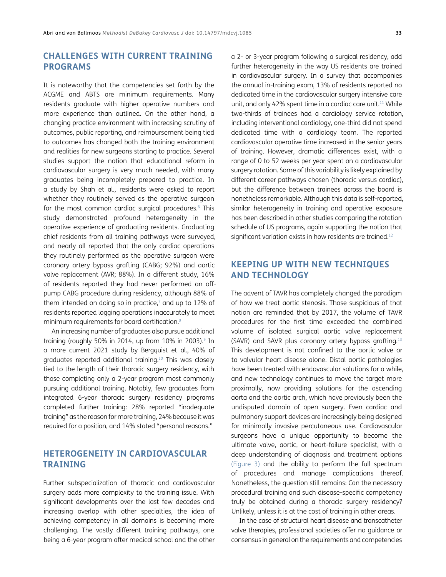## **CHALLENGES WITH CURRENT TRAINING PROGRAMS**

It is noteworthy that the competencies set forth by the ACGME and ABTS are minimum requirements. Many residents graduate with higher operative numbers and more experience than outlined. On the other hand, a changing practice environment with increasing scrutiny of outcomes, public reporting, and reimbursement being tied to outcomes has changed both the training environment and realities for new surgeons starting to practice. Several studies support the notion that educational reform in cardiovascular surgery is very much needed, with many graduates being incompletely prepared to practice. In a study by Shah et al., residents were asked to report whether they routinely served as the operative surgeon for the most common cardiac surgical procedures.<sup>6</sup> This study demonstrated profound heterogeneity in the operative experience of graduating residents. Graduating chief residents from all training pathways were surveyed, and nearly all reported that the only cardiac operations they routinely performed as the operative surgeon were coronary artery bypass grafting (CABG; 92%) and aortic valve replacement (AVR; 88%). In a different study, 16% of residents reported they had never performed an offpump CABG procedure during residency, although 88% of them intended on doing so in practice, $\frac{7}{7}$  and up to 12% of residents reported logging operations inaccurately to meet minimum requirements for board certification.<sup>[8](#page-7-8)</sup>

An increasing number of graduates also pursue additional training (roughly 50% in 2014, up from 10% in 2003).<sup>[9](#page-7-9)</sup> In a more current 2021 study by Bergquist et al., 40% of graduates reported additional training.[10](#page-7-10) This was closely tied to the length of their thoracic surgery residency, with those completing only a 2-year program most commonly pursuing additional training. Notably, few graduates from integrated 6-year thoracic surgery residency programs completed further training: 28% reported "inadequate training" as the reason for more training, 24% because it was required for a position, and 14% stated "personal reasons."

## **HETEROGENEITY IN CARDIOVASCULAR TRAINING**

Further subspecialization of thoracic and cardiovascular surgery adds more complexity to the training issue. With significant developments over the last few decades and increasing overlap with other specialties, the idea of achieving competency in all domains is becoming more challenging. The vastly different training pathways, one being a 6-year program after medical school and the other

a 2- or 3-year program following a surgical residency, add further heterogeneity in the way US residents are trained in cardiovascular surgery. In a survey that accompanies the annual in-training exam, 13% of residents reported no dedicated time in the cardiovascular surgery intensive care unit, and only 42% spent time in a cardiac care unit.<sup>11</sup> While two-thirds of trainees had a cardiology service rotation, including interventional cardiology, one-third did not spend dedicated time with a cardiology team. The reported cardiovascular operative time increased in the senior years of training. However, dramatic differences exist, with a range of 0 to 52 weeks per year spent on a cardiovascular surgery rotation. Some of this variability is likely explained by different career pathways chosen (thoracic versus cardiac), but the difference between trainees across the board is nonetheless remarkable. Although this data is self-reported, similar heterogeneity in training and operative exposure has been described in other studies comparing the rotation schedule of US programs, again supporting the notion that significant variation exists in how residents are trained.<sup>[12](#page-7-12)</sup>

## **KEEPING UP WITH NEW TECHNIQUES AND TECHNOLOGY**

The advent of TAVR has completely changed the paradigm of how we treat aortic stenosis. Those suspicious of that notion are reminded that by 2017, the volume of TAVR procedures for the first time exceeded the combined volume of isolated surgical aortic valve replacement (SAVR) and SAVR plus coronary artery bypass grafting[.13](#page-7-13) This development is not confined to the aortic valve or to valvular heart disease alone. Distal aortic pathologies have been treated with endovascular solutions for a while, and new technology continues to move the target more proximally, now providing solutions for the ascending aorta and the aortic arch, which have previously been the undisputed domain of open surgery. Even cardiac and pulmonary support devices are increasingly being designed for minimally invasive percutaneous use. Cardiovascular surgeons have a unique opportunity to become the ultimate valve, aortic, or heart-failure specialist, with a deep understanding of diagnosis and treatment options [\(Figure 3](#page-5-0)) and the ability to perform the full spectrum of procedures and manage complications thereof. Nonetheless, the question still remains: Can the necessary procedural training and such disease-specific competency truly be obtained during a thoracic surgery residency? Unlikely, unless it is at the cost of training in other areas.

In the case of structural heart disease and transcatheter valve therapies, professional societies offer no guidance or consensus in general on the requirements and competencies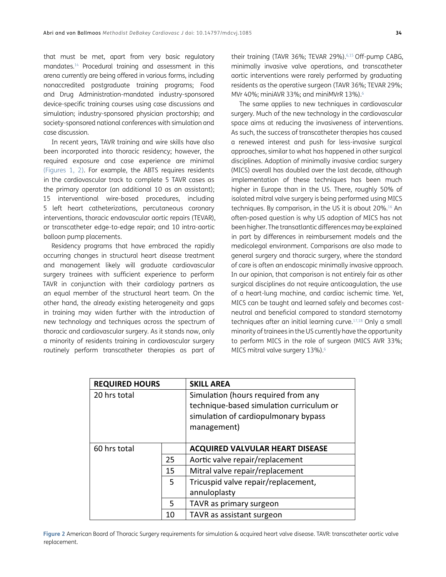that must be met, apart from very basic regulatory mandates[.14](#page-7-14) Procedural training and assessment in this arena currently are being offered in various forms, including nonaccredited postgraduate training programs; Food and Drug Administration-mandated industry-sponsored device-specific training courses using case discussions and simulation; industry-sponsored physician proctorship; and society-sponsored national conferences with simulation and case discussion.

In recent years, TAVR training and wire skills have also been incorporated into thoracic residency; however, the required exposure and case experience are minimal [\(Figures 1](#page-2-0), [2](#page-4-0)). For example, the ABTS requires residents in the cardiovascular track to complete 5 TAVR cases as the primary operator (an additional 10 as an assistant); 15 interventional wire-based procedures, including 5 left heart catheterizations, percutaneous coronary interventions, thoracic endovascular aortic repairs (TEVAR), or transcatheter edge-to-edge repair; and 10 intra-aortic balloon pump placements.

Residency programs that have embraced the rapidly occurring changes in structural heart disease treatment and management likely will graduate cardiovascular surgery trainees with sufficient experience to perform TAVR in conjunction with their cardiology partners as an equal member of the structural heart team. On the other hand, the already existing heterogeneity and gaps in training may widen further with the introduction of new technology and techniques across the spectrum of thoracic and cardiovascular surgery. As it stands now, only a minority of residents training in cardiovascular surgery routinely perform transcatheter therapies as part of their training (TAVR 36%; TEVAR 29%).<sup>6,[15](#page-8-0)</sup> Off-pump CABG, minimally invasive valve operations, and transcatheter aortic interventions were rarely performed by graduating residents as the operative surgeon (TAVR 36%; TEVAR 29%; MVr 40%; miniAVR 33%; and miniMVrR  $13\%$ .<sup>[6](#page-7-6)</sup>

The same applies to new techniques in cardiovascular surgery. Much of the new technology in the cardiovascular space aims at reducing the invasiveness of interventions. As such, the success of transcatheter therapies has caused a renewed interest and push for less-invasive surgical approaches, similar to what has happened in other surgical disciplines. Adoption of minimally invasive cardiac surgery (MICS) overall has doubled over the last decade, although implementation of these techniques has been much higher in Europe than in the US. There, roughly 50% of isolated mitral valve surgery is being performed using MICS techniques. By comparison, in the US it is about 20%.<sup>16</sup> An often-posed question is why US adoption of MICS has not been higher. The transatlantic differences may be explained in part by differences in reimbursement models and the medicolegal environment. Comparisons are also made to general surgery and thoracic surgery, where the standard of care is often an endoscopic minimally invasive approach. In our opinion, that comparison is not entirely fair as other surgical disciplines do not require anticoagulation, the use of a heart-lung machine, and cardiac ischemic time. Yet, MICS can be taught and learned safely and becomes costneutral and beneficial compared to standard sternotomy techniques after an initial learning curve.<sup>[17,](#page-8-2)[18](#page-8-3)</sup> Only a small minority of trainees in the US currently have the opportunity to perform MICS in the role of surgeon (MICS AVR 33%; MICS mitral valve surgery 13%).<sup>[6](#page-7-6)</sup>

| <b>REQUIRED HOURS</b> |    | <b>SKILL AREA</b>                                                                                                                      |
|-----------------------|----|----------------------------------------------------------------------------------------------------------------------------------------|
| 20 hrs total          |    | Simulation (hours required from any<br>technique-based simulation curriculum or<br>simulation of cardiopulmonary bypass<br>management) |
| 60 hrs total          |    | <b>ACQUIRED VALVULAR HEART DISEASE</b>                                                                                                 |
|                       | 25 | Aortic valve repair/replacement                                                                                                        |
|                       | 15 | Mitral valve repair/replacement                                                                                                        |
|                       | 5  | Tricuspid valve repair/replacement,                                                                                                    |
|                       |    | annuloplasty                                                                                                                           |
|                       | 5  | TAVR as primary surgeon                                                                                                                |
|                       | 10 | TAVR as assistant surgeon                                                                                                              |

<span id="page-4-0"></span>**Figure 2** American Board of Thoracic Surgery requirements for simulation & acquired heart valve disease. TAVR: transcatheter aortic valve replacement.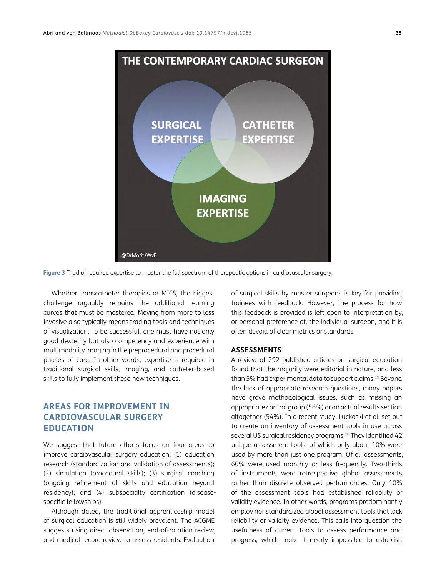

<span id="page-5-0"></span>**Figure 3** Triad of required expertise to master the full spectrum of therapeutic options in cardiovascular surgery.

Whether transcatheter therapies or MICS, the biggest challenge arguably remains the additional learning curves that must be mastered. Moving from more to less invasive also typically means trading tools and techniques of visualization. To be successful, one must have not only good dexterity but also competency and experience with multimodality imaging in the preprocedural and procedural phases of care. In other words, expertise is required in traditional surgical skills, imaging, and catheter-based skills to fully implement these new techniques.

## **AREAS FOR IMPROVEMENT IN CARDIOVASCULAR SURGERY EDUCATION**

We suggest that future efforts focus on four areas to improve cardiovascular surgery education: (1) education research (standardization and validation of assessments); (2) simulation (procedural skills); (3) surgical coaching (ongoing refinement of skills and education beyond residency); and (4) subspecialty certification (diseasespecific fellowships).

Although dated, the traditional apprenticeship model of surgical education is still widely prevalent. The ACGME suggests using direct observation, end-of-rotation review, and medical record review to assess residents. Evaluation

of surgical skills by master surgeons is key for providing trainees with feedback. However, the process for how this feedback is provided is left open to interpretation by, or personal preference of, the individual surgeon, and it is often devoid of clear metrics or standards.

#### **ASSESSMENTS**

A review of 292 published articles on surgical education found that the majority were editorial in nature, and less than 5% had experimental data to support claims.<sup>19</sup> Beyond the lack of appropriate research questions, many papers have grave methodological issues, such as missing an appropriate control group (56%) or an actual results section altogether (54%). In a recent study, Luckoski et al. set out to create an inventory of assessment tools in use across several US surgical residency programs.<sup>20</sup> They identified 42 unique assessment tools, of which only about 10% were used by more than just one program. Of all assessments, 60% were used monthly or less frequently. Two-thirds of instruments were retrospective global assessments rather than discrete observed performances. Only 10% of the assessment tools had established reliability or validity evidence. In other words, programs predominantly employ nonstandardized global assessment tools that lack reliability or validity evidence. This calls into question the usefulness of current tools to assess performance and progress, which make it nearly impossible to establish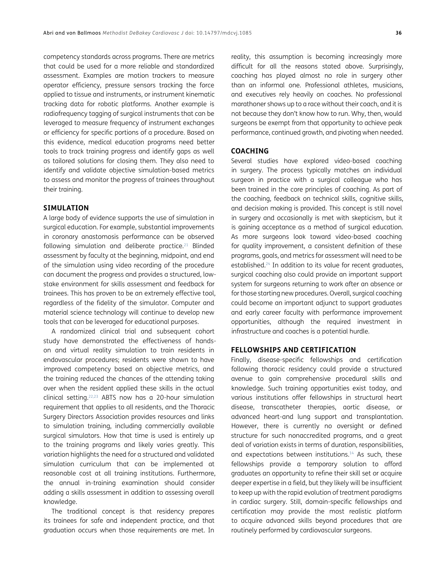competency standards across programs. There are metrics that could be used for a more reliable and standardized assessment. Examples are motion trackers to measure operator efficiency, pressure sensors tracking the force applied to tissue and instruments, or instrument kinematic tracking data for robotic platforms. Another example is radiofrequency tagging of surgical instruments that can be leveraged to measure frequency of instrument exchanges or efficiency for specific portions of a procedure. Based on this evidence, medical education programs need better tools to track training progress and identify gaps as well as tailored solutions for closing them. They also need to identify and validate objective simulation-based metrics to assess and monitor the progress of trainees throughout their training.

#### **SIMULATION**

A large body of evidence supports the use of simulation in surgical education. For example, substantial improvements in coronary anastomosis performance can be observed following simulation and deliberate practice.<sup>21</sup> Blinded assessment by faculty at the beginning, midpoint, and end of the simulation using video recording of the procedure can document the progress and provides a structured, lowstake environment for skills assessment and feedback for trainees. This has proven to be an extremely effective tool, regardless of the fidelity of the simulator. Computer and material science technology will continue to develop new tools that can be leveraged for educational purposes.

A randomized clinical trial and subsequent cohort study have demonstrated the effectiveness of handson and virtual reality simulation to train residents in endovascular procedures; residents were shown to have improved competency based on objective metrics, and the training reduced the chances of the attending taking over when the resident applied these skills in the actual clinical setting.[22,](#page-8-7)[23](#page-8-8) ABTS now has a 20-hour simulation requirement that applies to all residents, and the Thoracic Surgery Directors Association provides resources and links to simulation training, including commercially available surgical simulators. How that time is used is entirely up to the training programs and likely varies greatly. This variation highlights the need for a structured and validated simulation curriculum that can be implemented at reasonable cost at all training institutions. Furthermore, the annual in-training examination should consider adding a skills assessment in addition to assessing overall knowledge.

The traditional concept is that residency prepares its trainees for safe and independent practice, and that graduation occurs when those requirements are met. In reality, this assumption is becoming increasingly more difficult for all the reasons stated above. Surprisingly, coaching has played almost no role in surgery other than an informal one. Professional athletes, musicians, and executives rely heavily on coaches. No professional marathoner shows up to a race without their coach, and it is not because they don't know how to run. Why, then, would surgeons be exempt from that opportunity to achieve peak performance, continued growth, and pivoting when needed.

#### **COACHING**

Several studies have explored video-based coaching in surgery. The process typically matches an individual surgeon in practice with a surgical colleague who has been trained in the core principles of coaching. As part of the coaching, feedback on technical skills, cognitive skills, and decision making is provided. This concept is still novel in surgery and occasionally is met with skepticism, but it is gaining acceptance as a method of surgical education. As more surgeons look toward video-based coaching for quality improvement, a consistent definition of these programs, goals, and metrics for assessment will need to be established.<sup>24</sup> In addition to its value for recent graduates, surgical coaching also could provide an important support system for surgeons returning to work after an absence or for those starting new procedures. Overall, surgical coaching could become an important adjunct to support graduates and early career faculty with performance improvement opportunities, although the required investment in infrastructure and coaches is a potential hurdle.

#### **FELLOWSHIPS AND CERTIFICATION**

Finally, disease-specific fellowships and certification following thoracic residency could provide a structured avenue to gain comprehensive procedural skills and knowledge. Such training opportunities exist today, and various institutions offer fellowships in structural heart disease, transcatheter therapies, aortic disease, or advanced heart-and lung support and transplantation. However, there is currently no oversight or defined structure for such nonaccredited programs, and a great deal of variation exists in terms of duration, responsibilities, and expectations between institutions.<sup>14</sup> As such, these fellowships provide a temporary solution to afford graduates an opportunity to refine their skill set or acquire deeper expertise in a field, but they likely will be insufficient to keep up with the rapid evolution of treatment paradigms in cardiac surgery. Still, domain-specific fellowships and certification may provide the most realistic platform to acquire advanced skills beyond procedures that are routinely performed by cardiovascular surgeons.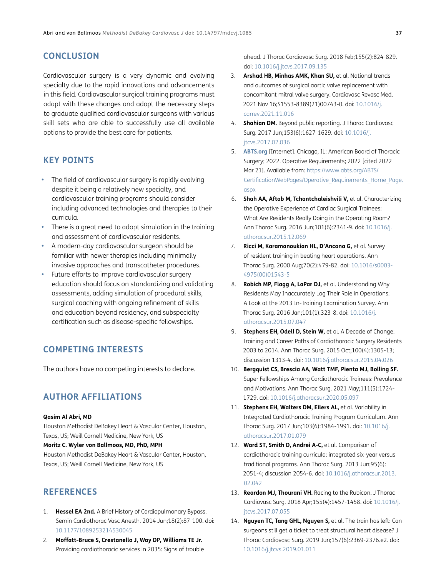## **CONCLUSION**

Cardiovascular surgery is a very dynamic and evolving specialty due to the rapid innovations and advancements in this field. Cardiovascular surgical training programs must adapt with these changes and adopt the necessary steps to graduate qualified cardiovascular surgeons with various skill sets who are able to successfully use all available options to provide the best care for patients.

## **KEY POINTS**

- **•**  The field of cardiovascular surgery is rapidly evolving despite it being a relatively new specialty, and cardiovascular training programs should consider including advanced technologies and therapies to their curricula.
- There is a great need to adopt simulation in the training and assessment of cardiovascular residents.
- A modern-day cardiovascular surgeon should be familiar with newer therapies including minimally invasive approaches and transcatheter procedures.
- Future efforts to improve cardiovascular surgery education should focus on standardizing and validating assessments, adding simulation of procedural skills, surgical coaching with ongoing refinement of skills and education beyond residency, and subspecialty certification such as disease-specific fellowships.

## **COMPETING INTERESTS**

The authors have no competing interests to declare.

## <span id="page-7-0"></span>**AUTHOR AFFILIATIONS**

#### **Qasim Al Abri, MD**

Houston Methodist DeBakey Heart & Vascular Center, Houston, Texas, US; Weill Cornell Medicine, New York, US

#### **Moritz C. Wyler von Ballmoos, MD, PhD, MPH**

Houston Methodist DeBakey Heart & Vascular Center, Houston, Texas, US; Weill Cornell Medicine, New York, US

## **REFERENCES**

- <span id="page-7-1"></span>1. **Hessel EA 2nd.** A Brief History of Cardiopulmonary Bypass. Semin Cardiothorac Vasc Anesth. 2014 Jun;18(2):87-100. doi: [10.1177/1089253214530045](https://doi.org/10.1177/1089253214530045)
- <span id="page-7-2"></span>2. **Moffatt-Bruce S, Crestanello J, Way DP, Williams TE Jr.**  Providing cardiothoracic services in 2035: Signs of trouble

ahead. J Thorac Cardiovasc Surg. 2018 Feb;155(2):824-829. doi: [10.1016/j.jtcvs.2017.09.135](https://doi.org/10.1016/j.jtcvs.2017.09.135)

- <span id="page-7-3"></span>3. **Arshad HB, Minhas AMK, Khan SU,** et al. National trends and outcomes of surgical aortic valve replacement with concomitant mitral valve surgery. Cardiovasc Revasc Med. 2021 Nov 16;S1553-8389(21)00743-0. doi: [10.1016/j.](https://doi.org/10.1016/j.carrev.2021.11.016) [carrev.2021.11.016](https://doi.org/10.1016/j.carrev.2021.11.016)
- <span id="page-7-4"></span>4. **Shahian DM.** Beyond public reporting. J Thorac Cardiovasc Surg. 2017 Jun;153(6):1627-1629. doi: [10.1016/j.](https://doi.org/10.1016/j.jtcvs.2017.02.036) [jtcvs.2017.02.036](https://doi.org/10.1016/j.jtcvs.2017.02.036)
- <span id="page-7-5"></span>5. **[ABTS.org](http://ABTS.org)** [Internet]. Chicago, IL: American Board of Thoracic Surgery; 2022. Operative Requirements; 2022 [cited 2022 Mar 21]. Available from: [https://www.abts.org/ABTS/](https://www.abts.org/ABTS/CertificationWebPages/Operative_Requirements_Home_Page.aspx) [CertificationWebPages/Operative\\_Requirements\\_Home\\_Page.](https://www.abts.org/ABTS/CertificationWebPages/Operative_Requirements_Home_Page.aspx) [aspx](https://www.abts.org/ABTS/CertificationWebPages/Operative_Requirements_Home_Page.aspx)
- <span id="page-7-6"></span>6. **Shah AA, Aftab M, Tchantchaleishvili V,** et al. Characterizing the Operative Experience of Cardiac Surgical Trainees: What Are Residents Really Doing in the Operating Room? Ann Thorac Surg. 2016 Jun;101(6):2341-9. doi: [10.1016/j.](https://doi.org/10.1016/j.athoracsur.2015.12.069) [athoracsur.2015.12.069](https://doi.org/10.1016/j.athoracsur.2015.12.069)
- <span id="page-7-7"></span>7. **Ricci M, Karamanoukian HL, D'Ancona G,** et al. Survey of resident training in beating heart operations. Ann Thorac Surg. 2000 Aug;70(2):479-82. doi: [10.1016/s0003-](https://doi.org/10.1016/S0003-4975(00)01543-5) [4975\(00\)01543-5](https://doi.org/10.1016/S0003-4975(00)01543-5)
- <span id="page-7-8"></span>8. **Robich MP, Flagg A, LaPar DJ,** et al. Understanding Why Residents May Inaccurately Log Their Role in Operations: A Look at the 2013 In-Training Examination Survey. Ann Thorac Surg. 2016 Jan;101(1):323-8. doi: [10.1016/j.](https://doi.org/10.1016/j.athoracsur.2015.07.047) [athoracsur.2015.07.047](https://doi.org/10.1016/j.athoracsur.2015.07.047)
- <span id="page-7-9"></span>9. **Stephens EH, Odell D, Stein W,** et al. A Decade of Change: Training and Career Paths of Cardiothoracic Surgery Residents 2003 to 2014. Ann Thorac Surg. 2015 Oct;100(4):1305-13; discussion 1313-4. doi: [10.1016/j.athoracsur.2015.04.026](https://doi.org/10.1016/j.athoracsur.2015.04.026)
- <span id="page-7-10"></span>10. **Bergquist CS, Brescia AA, Watt TMF, Pienta MJ, Bolling SF.**  Super Fellowships Among Cardiothoracic Trainees: Prevalence and Motivations. Ann Thorac Surg. 2021 May;111(5):1724- 1729. doi: [10.1016/j.athoracsur.2020.05.097](https://doi.org/10.1016/j.athoracsur.2020.05.097)
- <span id="page-7-11"></span>11. **Stephens EH, Walters DM, Eilers AL,** et al. Variability in Integrated Cardiothoracic Training Program Curriculum. Ann Thorac Surg. 2017 Jun;103(6):1984-1991. doi: [10.1016/j.](https://doi.org/10.1016/j.athoracsur.2017.01.079) [athoracsur.2017.01.079](https://doi.org/10.1016/j.athoracsur.2017.01.079)
- <span id="page-7-12"></span>12. **Ward ST, Smith D, Andrei A-C,** et al. Comparison of cardiothoracic training curricula: integrated six-year versus traditional programs. Ann Thorac Surg. 2013 Jun;95(6): 2051-4; discussion 2054-6. doi: [10.1016/j.athoracsur.2013.](https://doi.org/10.1016/j.athoracsur.2013.02.042) [02.042](https://doi.org/10.1016/j.athoracsur.2013.02.042)
- <span id="page-7-13"></span>13. **Reardon MJ, Thourani VH.** Racing to the Rubicon. J Thorac Cardiovasc Surg. 2018 Apr;155(4):1457-1458. doi: [10.1016/j.](https://doi.org/10.1016/j.jtcvs.2017.07.055) [jtcvs.2017.07.055](https://doi.org/10.1016/j.jtcvs.2017.07.055)
- <span id="page-7-14"></span>14. **Nguyen TC, Tang GHL, Nguyen S,** et al. The train has left: Can surgeons still get a ticket to treat structural heart disease? J Thorac Cardiovasc Surg. 2019 Jun;157(6):2369-2376.e2. doi: [10.1016/j.jtcvs.2019.01.011](https://doi.org/10.1016/j.jtcvs.2019.01.011)